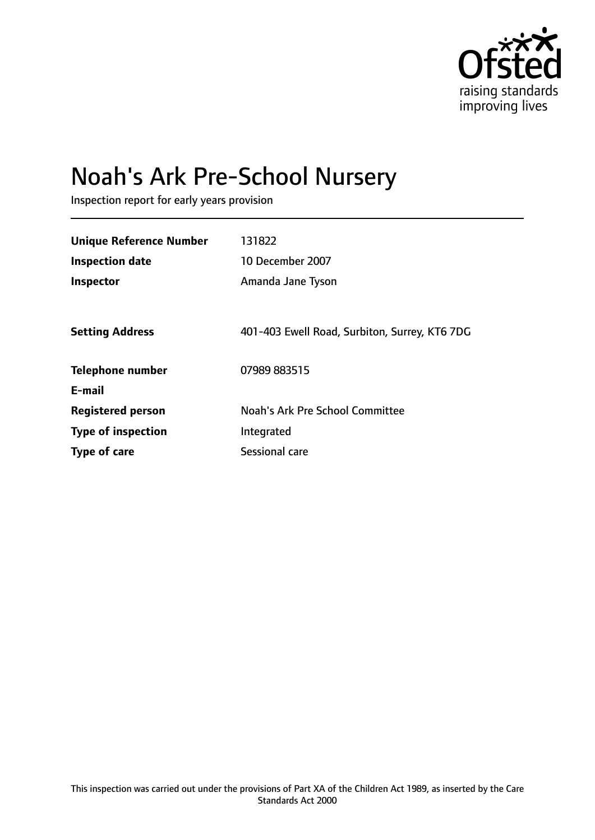

# Noah's Ark Pre-School Nursery

Inspection report for early years provision

| <b>Unique Reference Number</b> | 131822                                        |
|--------------------------------|-----------------------------------------------|
| <b>Inspection date</b>         | 10 December 2007                              |
| Inspector                      | Amanda Jane Tyson                             |
|                                |                                               |
| <b>Setting Address</b>         | 401-403 Ewell Road, Surbiton, Surrey, KT6 7DG |
| <b>Telephone number</b>        | 07989 883515                                  |
| E-mail                         |                                               |
| <b>Registered person</b>       | Noah's Ark Pre School Committee               |
| <b>Type of inspection</b>      | Integrated                                    |
| Type of care                   | Sessional care                                |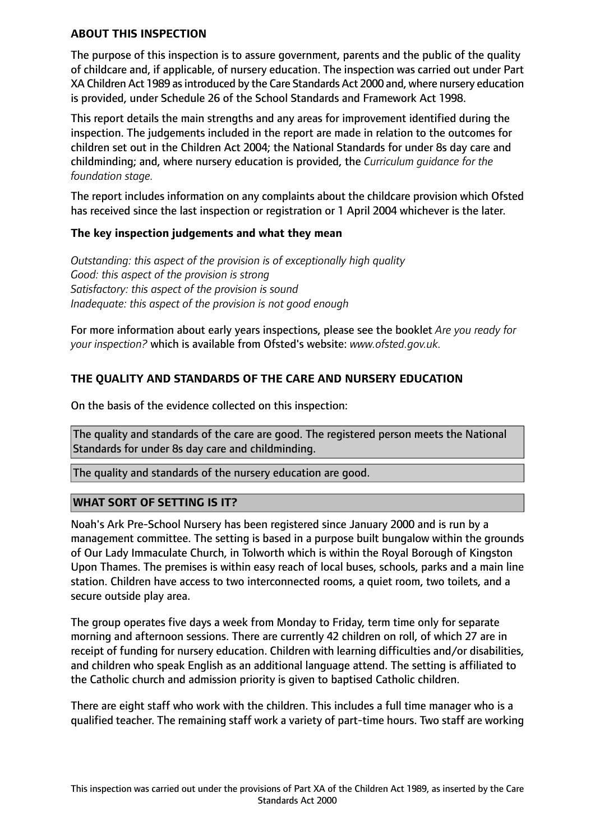#### **ABOUT THIS INSPECTION**

The purpose of this inspection is to assure government, parents and the public of the quality of childcare and, if applicable, of nursery education. The inspection was carried out under Part XA Children Act 1989 as introduced by the Care Standards Act 2000 and, where nursery education is provided, under Schedule 26 of the School Standards and Framework Act 1998.

This report details the main strengths and any areas for improvement identified during the inspection. The judgements included in the report are made in relation to the outcomes for children set out in the Children Act 2004; the National Standards for under 8s day care and childminding; and, where nursery education is provided, the *Curriculum guidance for the foundation stage.*

The report includes information on any complaints about the childcare provision which Ofsted has received since the last inspection or registration or 1 April 2004 whichever is the later.

#### **The key inspection judgements and what they mean**

*Outstanding: this aspect of the provision is of exceptionally high quality Good: this aspect of the provision is strong Satisfactory: this aspect of the provision is sound Inadequate: this aspect of the provision is not good enough*

For more information about early years inspections, please see the booklet *Are you ready for your inspection?* which is available from Ofsted's website: *www.ofsted.gov.uk.*

## **THE QUALITY AND STANDARDS OF THE CARE AND NURSERY EDUCATION**

On the basis of the evidence collected on this inspection:

The quality and standards of the care are good. The registered person meets the National Standards for under 8s day care and childminding.

The quality and standards of the nursery education are good.

## **WHAT SORT OF SETTING IS IT?**

Noah's Ark Pre-School Nursery has been registered since January 2000 and is run by a management committee. The setting is based in a purpose built bungalow within the grounds of Our Lady Immaculate Church, in Tolworth which is within the Royal Borough of Kingston Upon Thames. The premises is within easy reach of local buses, schools, parks and a main line station. Children have access to two interconnected rooms, a quiet room, two toilets, and a secure outside play area.

The group operates five days a week from Monday to Friday, term time only for separate morning and afternoon sessions. There are currently 42 children on roll, of which 27 are in receipt of funding for nursery education. Children with learning difficulties and/or disabilities, and children who speak English as an additional language attend. The setting is affiliated to the Catholic church and admission priority is given to baptised Catholic children.

There are eight staff who work with the children. This includes a full time manager who is a qualified teacher. The remaining staff work a variety of part-time hours. Two staff are working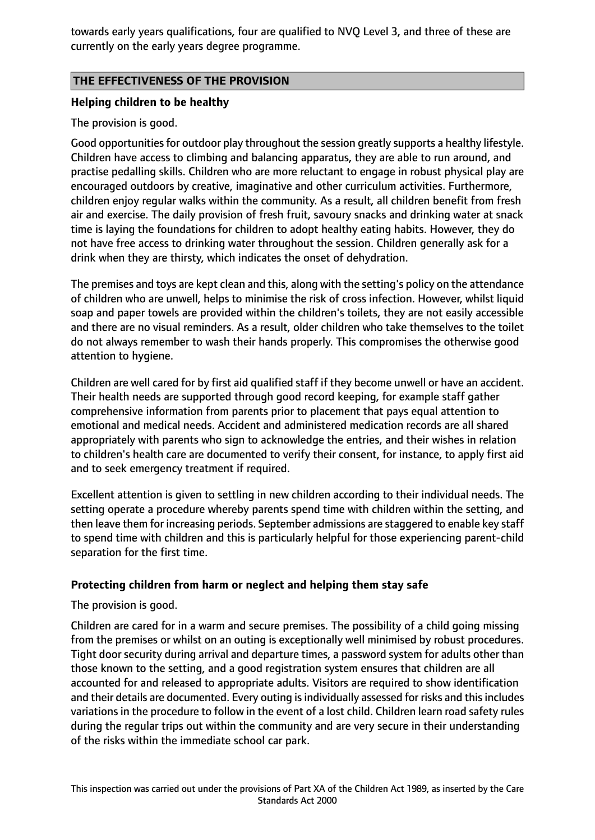towards early years qualifications, four are qualified to NVQ Level 3, and three of these are currently on the early years degree programme.

## **THE EFFECTIVENESS OF THE PROVISION**

## **Helping children to be healthy**

The provision is good.

Good opportunities for outdoor play throughout the session greatly supports a healthy lifestyle. Children have access to climbing and balancing apparatus, they are able to run around, and practise pedalling skills. Children who are more reluctant to engage in robust physical play are encouraged outdoors by creative, imaginative and other curriculum activities. Furthermore, children enjoy regular walks within the community. As a result, all children benefit from fresh air and exercise. The daily provision of fresh fruit, savoury snacks and drinking water at snack time is laying the foundations for children to adopt healthy eating habits. However, they do not have free access to drinking water throughout the session. Children generally ask for a drink when they are thirsty, which indicates the onset of dehydration.

The premises and toys are kept clean and this, along with the setting's policy on the attendance of children who are unwell, helps to minimise the risk of cross infection. However, whilst liquid soap and paper towels are provided within the children's toilets, they are not easily accessible and there are no visual reminders. As a result, older children who take themselves to the toilet do not always remember to wash their hands properly. This compromises the otherwise good attention to hygiene.

Children are well cared for by first aid qualified staff if they become unwell or have an accident. Their health needs are supported through good record keeping, for example staff gather comprehensive information from parents prior to placement that pays equal attention to emotional and medical needs. Accident and administered medication records are all shared appropriately with parents who sign to acknowledge the entries, and their wishes in relation to children's health care are documented to verify their consent, for instance, to apply first aid and to seek emergency treatment if required.

Excellent attention is given to settling in new children according to their individual needs. The setting operate a procedure whereby parents spend time with children within the setting, and then leave them for increasing periods. September admissions are staggered to enable key staff to spend time with children and this is particularly helpful for those experiencing parent-child separation for the first time.

## **Protecting children from harm or neglect and helping them stay safe**

The provision is good.

Children are cared for in a warm and secure premises. The possibility of a child going missing from the premises or whilst on an outing is exceptionally well minimised by robust procedures. Tight door security during arrival and departure times, a password system for adults other than those known to the setting, and a good registration system ensures that children are all accounted for and released to appropriate adults. Visitors are required to show identification and their details are documented. Every outing is individually assessed for risks and this includes variations in the procedure to follow in the event of a lost child. Children learn road safety rules during the regular trips out within the community and are very secure in their understanding of the risks within the immediate school car park.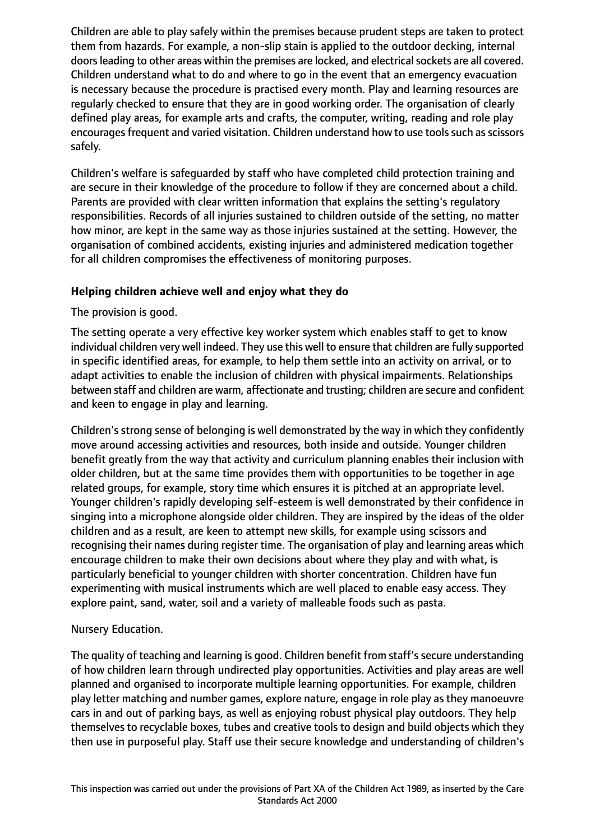Children are able to play safely within the premises because prudent steps are taken to protect them from hazards. For example, a non-slip stain is applied to the outdoor decking, internal doors leading to other areas within the premises are locked, and electrical sockets are all covered. Children understand what to do and where to go in the event that an emergency evacuation is necessary because the procedure is practised every month. Play and learning resources are regularly checked to ensure that they are in good working order. The organisation of clearly defined play areas, for example arts and crafts, the computer, writing, reading and role play encourages frequent and varied visitation. Children understand how to use tools such as scissors safely.

Children's welfare is safeguarded by staff who have completed child protection training and are secure in their knowledge of the procedure to follow if they are concerned about a child. Parents are provided with clear written information that explains the setting's regulatory responsibilities. Records of all injuries sustained to children outside of the setting, no matter how minor, are kept in the same way as those injuries sustained at the setting. However, the organisation of combined accidents, existing injuries and administered medication together for all children compromises the effectiveness of monitoring purposes.

## **Helping children achieve well and enjoy what they do**

The provision is good.

The setting operate a very effective key worker system which enables staff to get to know individual children very well indeed. They use this well to ensure that children are fully supported in specific identified areas, for example, to help them settle into an activity on arrival, or to adapt activities to enable the inclusion of children with physical impairments. Relationships between staff and children are warm, affectionate and trusting; children are secure and confident and keen to engage in play and learning.

Children's strong sense of belonging is well demonstrated by the way in which they confidently move around accessing activities and resources, both inside and outside. Younger children benefit greatly from the way that activity and curriculum planning enables their inclusion with older children, but at the same time provides them with opportunities to be together in age related groups, for example, story time which ensures it is pitched at an appropriate level. Younger children's rapidly developing self-esteem is well demonstrated by their confidence in singing into a microphone alongside older children. They are inspired by the ideas of the older children and as a result, are keen to attempt new skills, for example using scissors and recognising their names during register time. The organisation of play and learning areas which encourage children to make their own decisions about where they play and with what, is particularly beneficial to younger children with shorter concentration. Children have fun experimenting with musical instruments which are well placed to enable easy access. They explore paint, sand, water, soil and a variety of malleable foods such as pasta.

## Nursery Education.

The quality of teaching and learning is good. Children benefit from staff's secure understanding of how children learn through undirected play opportunities. Activities and play areas are well planned and organised to incorporate multiple learning opportunities. For example, children play letter matching and number games, explore nature, engage in role play as they manoeuvre cars in and out of parking bays, as well as enjoying robust physical play outdoors. They help themselves to recyclable boxes, tubes and creative tools to design and build objects which they then use in purposeful play. Staff use their secure knowledge and understanding of children's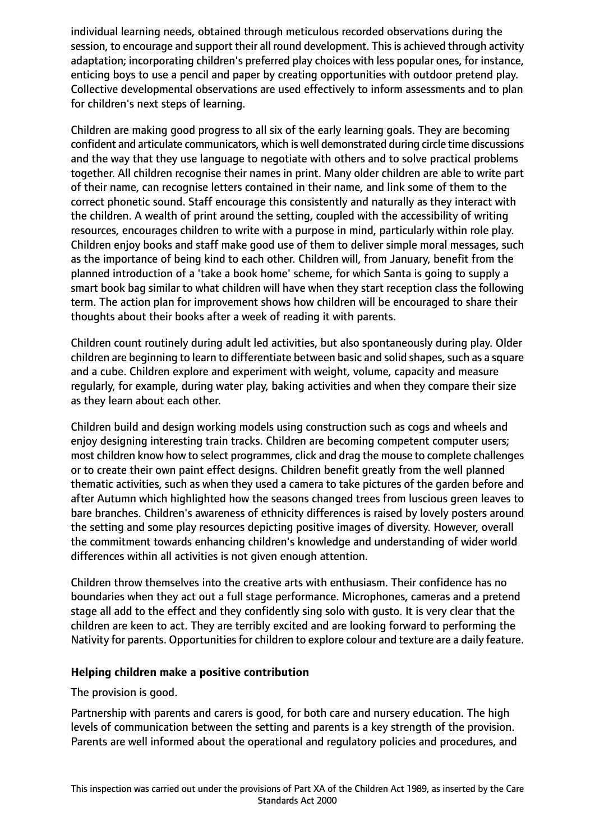individual learning needs, obtained through meticulous recorded observations during the session, to encourage and support their all round development. This is achieved through activity adaptation; incorporating children's preferred play choices with less popular ones, for instance, enticing boys to use a pencil and paper by creating opportunities with outdoor pretend play. Collective developmental observations are used effectively to inform assessments and to plan for children's next steps of learning.

Children are making good progress to all six of the early learning goals. They are becoming confident and articulate communicators, which is well demonstrated during circle time discussions and the way that they use language to negotiate with others and to solve practical problems together. All children recognise their names in print. Many older children are able to write part of their name, can recognise letters contained in their name, and link some of them to the correct phonetic sound. Staff encourage this consistently and naturally as they interact with the children. A wealth of print around the setting, coupled with the accessibility of writing resources, encourages children to write with a purpose in mind, particularly within role play. Children enjoy books and staff make good use of them to deliver simple moral messages, such as the importance of being kind to each other. Children will, from January, benefit from the planned introduction of a 'take a book home' scheme, for which Santa is going to supply a smart book bag similar to what children will have when they start reception class the following term. The action plan for improvement shows how children will be encouraged to share their thoughts about their books after a week of reading it with parents.

Children count routinely during adult led activities, but also spontaneously during play. Older children are beginning to learn to differentiate between basic and solid shapes, such as a square and a cube. Children explore and experiment with weight, volume, capacity and measure regularly, for example, during water play, baking activities and when they compare their size as they learn about each other.

Children build and design working models using construction such as cogs and wheels and enjoy designing interesting train tracks. Children are becoming competent computer users; most children know how to select programmes, click and drag the mouse to complete challenges or to create their own paint effect designs. Children benefit greatly from the well planned thematic activities, such as when they used a camera to take pictures of the garden before and after Autumn which highlighted how the seasons changed trees from luscious green leaves to bare branches. Children's awareness of ethnicity differences is raised by lovely posters around the setting and some play resources depicting positive images of diversity. However, overall the commitment towards enhancing children's knowledge and understanding of wider world differences within all activities is not given enough attention.

Children throw themselves into the creative arts with enthusiasm. Their confidence has no boundaries when they act out a full stage performance. Microphones, cameras and a pretend stage all add to the effect and they confidently sing solo with gusto. It is very clear that the children are keen to act. They are terribly excited and are looking forward to performing the Nativity for parents. Opportunities for children to explore colour and texture are a daily feature.

## **Helping children make a positive contribution**

The provision is good.

Partnership with parents and carers is good, for both care and nursery education. The high levels of communication between the setting and parents is a key strength of the provision. Parents are well informed about the operational and regulatory policies and procedures, and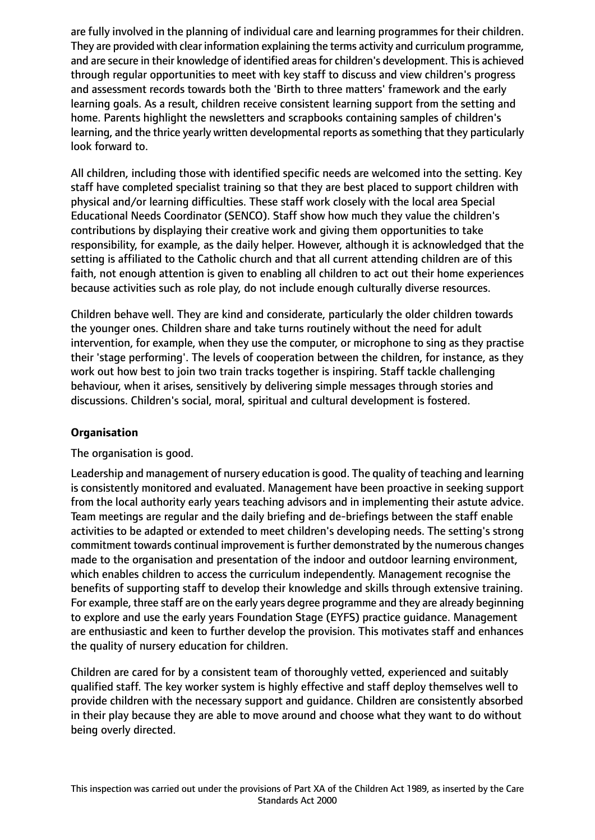are fully involved in the planning of individual care and learning programmes for their children. They are provided with clear information explaining the terms activity and curriculum programme, and are secure in their knowledge of identified areas for children's development. This is achieved through regular opportunities to meet with key staff to discuss and view children's progress and assessment records towards both the 'Birth to three matters' framework and the early learning goals. As a result, children receive consistent learning support from the setting and home. Parents highlight the newsletters and scrapbooks containing samples of children's learning, and the thrice yearly written developmental reports as something that they particularly look forward to.

All children, including those with identified specific needs are welcomed into the setting. Key staff have completed specialist training so that they are best placed to support children with physical and/or learning difficulties. These staff work closely with the local area Special Educational Needs Coordinator (SENCO). Staff show how much they value the children's contributions by displaying their creative work and giving them opportunities to take responsibility, for example, as the daily helper. However, although it is acknowledged that the setting is affiliated to the Catholic church and that all current attending children are of this faith, not enough attention is given to enabling all children to act out their home experiences because activities such as role play, do not include enough culturally diverse resources.

Children behave well. They are kind and considerate, particularly the older children towards the younger ones. Children share and take turns routinely without the need for adult intervention, for example, when they use the computer, or microphone to sing as they practise their 'stage performing'. The levels of cooperation between the children, for instance, as they work out how best to join two train tracks together is inspiring. Staff tackle challenging behaviour, when it arises, sensitively by delivering simple messages through stories and discussions. Children's social, moral, spiritual and cultural development is fostered.

## **Organisation**

The organisation is good.

Leadership and management of nursery education is good. The quality of teaching and learning is consistently monitored and evaluated. Management have been proactive in seeking support from the local authority early years teaching advisors and in implementing their astute advice. Team meetings are regular and the daily briefing and de-briefings between the staff enable activities to be adapted or extended to meet children's developing needs. The setting's strong commitment towards continual improvement isfurther demonstrated by the numerous changes made to the organisation and presentation of the indoor and outdoor learning environment, which enables children to access the curriculum independently. Management recognise the benefits of supporting staff to develop their knowledge and skills through extensive training. For example, three staff are on the early years degree programme and they are already beginning to explore and use the early years Foundation Stage (EYFS) practice guidance. Management are enthusiastic and keen to further develop the provision. This motivates staff and enhances the quality of nursery education for children.

Children are cared for by a consistent team of thoroughly vetted, experienced and suitably qualified staff. The key worker system is highly effective and staff deploy themselves well to provide children with the necessary support and guidance. Children are consistently absorbed in their play because they are able to move around and choose what they want to do without being overly directed.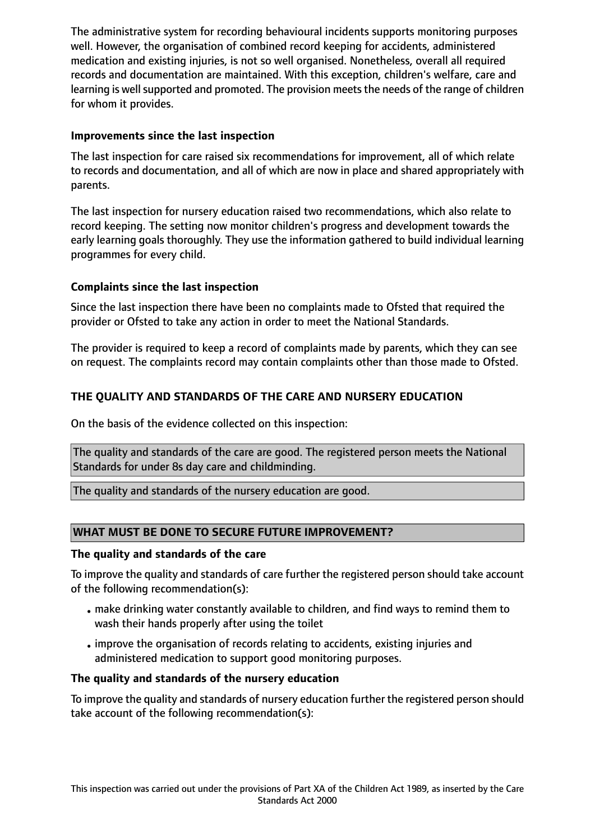The administrative system for recording behavioural incidents supports monitoring purposes well. However, the organisation of combined record keeping for accidents, administered medication and existing injuries, is not so well organised. Nonetheless, overall all required records and documentation are maintained. With this exception, children's welfare, care and learning is well supported and promoted. The provision meets the needs of the range of children for whom it provides.

## **Improvements since the last inspection**

The last inspection for care raised six recommendations for improvement, all of which relate to records and documentation, and all of which are now in place and shared appropriately with parents.

The last inspection for nursery education raised two recommendations, which also relate to record keeping. The setting now monitor children's progress and development towards the early learning goals thoroughly. They use the information gathered to build individual learning programmes for every child.

## **Complaints since the last inspection**

Since the last inspection there have been no complaints made to Ofsted that required the provider or Ofsted to take any action in order to meet the National Standards.

The provider is required to keep a record of complaints made by parents, which they can see on request. The complaints record may contain complaints other than those made to Ofsted.

## **THE QUALITY AND STANDARDS OF THE CARE AND NURSERY EDUCATION**

On the basis of the evidence collected on this inspection:

The quality and standards of the care are good. The registered person meets the National Standards for under 8s day care and childminding.

The quality and standards of the nursery education are good.

## **WHAT MUST BE DONE TO SECURE FUTURE IMPROVEMENT?**

#### **The quality and standards of the care**

To improve the quality and standards of care further the registered person should take account of the following recommendation(s):

- make drinking water constantly available to children, and find ways to remind them to wash their hands properly after using the toilet
- •improve the organisation of records relating to accidents, existing injuries and administered medication to support good monitoring purposes.

## **The quality and standards of the nursery education**

To improve the quality and standards of nursery education further the registered person should take account of the following recommendation(s):